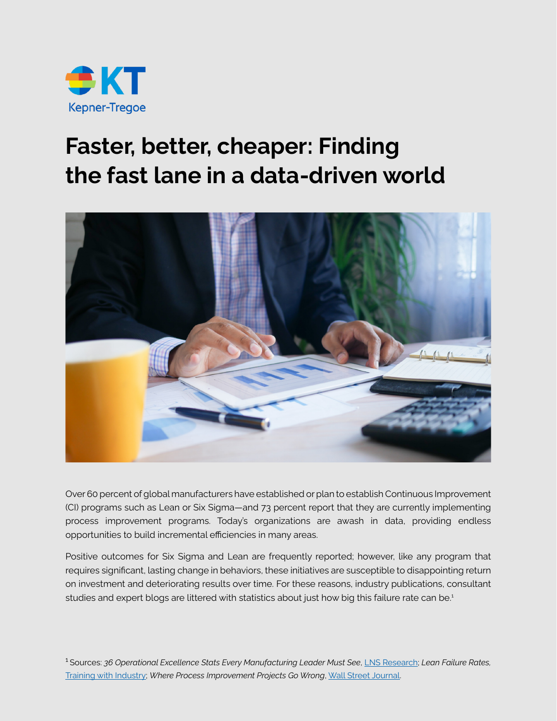

## **Faster, better, cheaper: Finding the fast lane in a data-driven world**



Over 60 percent of global manufacturers have established or plan to establish Continuous Improvement (CI) programs such as Lean or Six Sigma—and 73 percent report that they are currently implementing process improvement programs. Today's organizations are awash in data, providing endless opportunities to build incremental efficiencies in many areas.

Positive outcomes for Six Sigma and Lean are frequently reported; however, like any program that requires significant, lasting change in behaviors, these initiatives are susceptible to disappointing return on investment and deteriorating results over time. For these reasons, industry publications, consultant studies and expert blogs are littered with statistics about just how big this failure rate can be.<sup>1</sup>

1 Sources: *36 Operational Excellence Stats Every Manufacturing Leader Must See*, [LNS Research](http://blog.lnsresearch.com/blog/bid/193248/36-Operational-Excellence-Stats-Every-Manufacturing-Leader-Must-See); *Lean Failure Rates,*  [Training with Industry](http://trainingwithinindustry.blogspot.com/2009/06/lean-failure-rates.html); *Where Process Improvement Projects Go Wrong*, [Wall Street Journal.](http://online.wsj.com/news/articles/SB10001424052748703298004574457471313938130)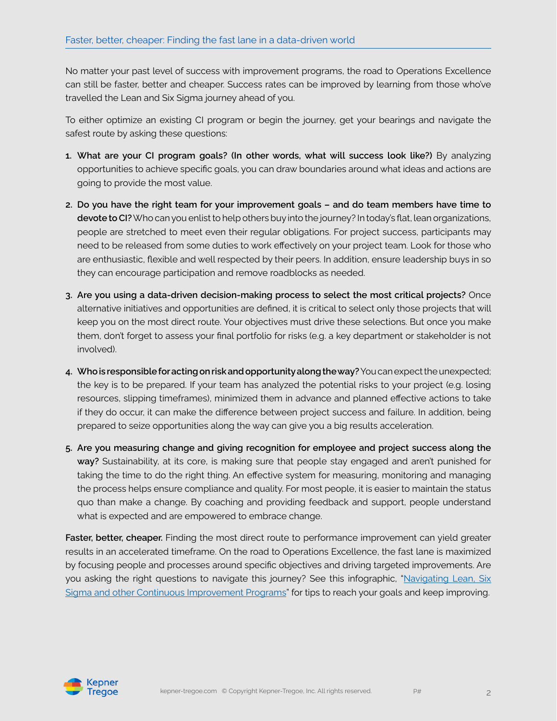No matter your past level of success with improvement programs, the road to Operations Excellence can still be faster, better and cheaper. Success rates can be improved by learning from those who've travelled the Lean and Six Sigma journey ahead of you.

To either optimize an existing CI program or begin the journey, get your bearings and navigate the safest route by asking these questions:

- **1. What are your CI program goals? (In other words, what will success look like?)** By analyzing opportunities to achieve specific goals, you can draw boundaries around what ideas and actions are going to provide the most value.
- **2. Do you have the right team for your improvement goals and do team members have time to devote to CI?** Who can you enlist to help others buy into the journey? In today's flat, lean organizations, people are stretched to meet even their regular obligations. For project success, participants may need to be released from some duties to work effectively on your project team. Look for those who are enthusiastic, flexible and well respected by their peers. In addition, ensure leadership buys in so they can encourage participation and remove roadblocks as needed.
- **3. Are you using a data-driven decision-making process to select the most critical projects?** Once alternative initiatives and opportunities are defined, it is critical to select only those projects that will keep you on the most direct route. Your objectives must drive these selections. But once you make them, don't forget to assess your final portfolio for risks (e.g. a key department or stakeholder is not involved).
- **4. Who is responsible for acting on risk and opportunity along the way?** You can expect the unexpected; the key is to be prepared. If your team has analyzed the potential risks to your project (e.g. losing resources, slipping timeframes), minimized them in advance and planned effective actions to take if they do occur, it can make the difference between project success and failure. In addition, being prepared to seize opportunities along the way can give you a big results acceleration.
- **5. Are you measuring change and giving recognition for employee and project success along the way?** Sustainability, at its core, is making sure that people stay engaged and aren't punished for taking the time to do the right thing. An effective system for measuring, monitoring and managing the process helps ensure compliance and quality. For most people, it is easier to maintain the status quo than make a change. By coaching and providing feedback and support, people understand what is expected and are empowered to embrace change.

**Faster, better, cheaper.** Finding the most direct route to performance improvement can yield greater results in an accelerated timeframe. On the road to Operations Excellence, the fast lane is maximized by focusing people and processes around specific objectives and driving targeted improvements. Are you asking the right questions to navigate this journey? See this infographic, "Navigating Lean, Six [Sigma and other Continuous Improvement Programs"](https://www.kepner-tregoe.com/consulting-services/targeted-performance-improvement/optimizing-lean-six-sigma-infographic/) for tips to reach your goals and keep improving.